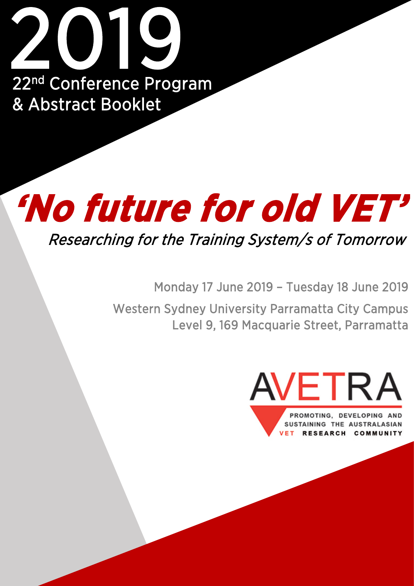

# **'No future for old VET'**

Researching for the Training System/s of Tomorrow

Monday 17 June 2019 – Tuesday 18 June 2019

Western Sydney University Parramatta City Campus Level 9, 169 Macquarie Street, Parramatta

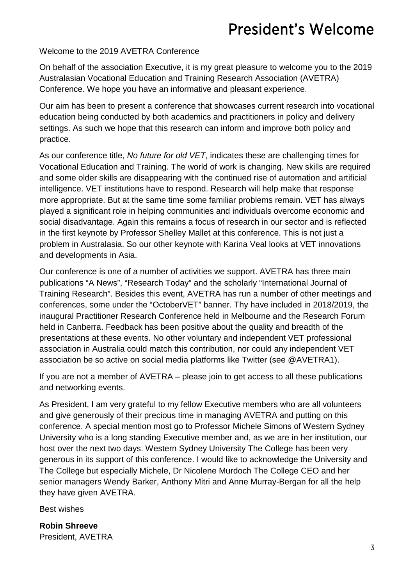## President's Welcome

#### Welcome to the 2019 AVETRA Conference

On behalf of the association Executive, it is my great pleasure to welcome you to the 2019 Australasian Vocational Education and Training Research Association (AVETRA) Conference. We hope you have an informative and pleasant experience.

Our aim has been to present a conference that showcases current research into vocational education being conducted by both academics and practitioners in policy and delivery settings. As such we hope that this research can inform and improve both policy and practice.

As our conference title, *No future for old VET*, indicates these are challenging times for Vocational Education and Training. The world of work is changing. New skills are required and some older skills are disappearing with the continued rise of automation and artificial intelligence. VET institutions have to respond. Research will help make that response more appropriate. But at the same time some familiar problems remain. VET has always played a significant role in helping communities and individuals overcome economic and social disadvantage. Again this remains a focus of research in our sector and is reflected in the first keynote by Professor Shelley Mallet at this conference. This is not just a problem in Australasia. So our other keynote with Karina Veal looks at VET innovations and developments in Asia.

Our conference is one of a number of activities we support. AVETRA has three main publications "A News", "Research Today" and the scholarly "International Journal of Training Research". Besides this event, AVETRA has run a number of other meetings and conferences, some under the "OctoberVET" banner. Thy have included in 2018/2019, the inaugural Practitioner Research Conference held in Melbourne and the Research Forum held in Canberra. Feedback has been positive about the quality and breadth of the presentations at these events. No other voluntary and independent VET professional association in Australia could match this contribution, nor could any independent VET association be so active on social media platforms like Twitter (see @AVETRA1).

If you are not a member of AVETRA – please join to get access to all these publications and networking events.

As President, I am very grateful to my fellow Executive members who are all volunteers and give generously of their precious time in managing AVETRA and putting on this conference. A special mention most go to Professor Michele Simons of Western Sydney University who is a long standing Executive member and, as we are in her institution, our host over the next two days. Western Sydney University The College has been very generous in its support of this conference. I would like to acknowledge the University and The College but especially Michele, Dr Nicolene Murdoch The College CEO and her senior managers Wendy Barker, Anthony Mitri and Anne Murray-Bergan for all the help they have given AVETRA.

Best wishes

**Robin Shreeve** President, AVETRA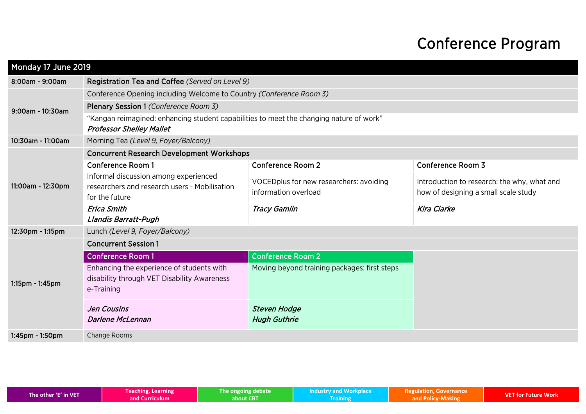## Conference Program

| Monday 17 June 2019 |                                                                                                                            |                                                                 |                                                                                     |  |  |
|---------------------|----------------------------------------------------------------------------------------------------------------------------|-----------------------------------------------------------------|-------------------------------------------------------------------------------------|--|--|
| 8:00am - 9:00am     | Registration Tea and Coffee (Served on Level 9)                                                                            |                                                                 |                                                                                     |  |  |
|                     | Conference Opening including Welcome to Country (Conference Room 3)                                                        |                                                                 |                                                                                     |  |  |
| 9:00am - 10:30am    | Plenary Session 1 (Conference Room 3)                                                                                      |                                                                 |                                                                                     |  |  |
|                     | "Kangan reimagined: enhancing student capabilities to meet the changing nature of work"<br><b>Professor Shelley Mallet</b> |                                                                 |                                                                                     |  |  |
| 10:30am - 11:00am   | Morning Tea (Level 9, Foyer/Balcony)                                                                                       |                                                                 |                                                                                     |  |  |
|                     | <b>Concurrent Research Development Workshops</b>                                                                           |                                                                 |                                                                                     |  |  |
|                     | <b>Conference Room 1</b>                                                                                                   | <b>Conference Room 2</b>                                        | <b>Conference Room 3</b>                                                            |  |  |
| 11:00am - 12:30pm   | Informal discussion among experienced<br>researchers and research users - Mobilisation<br>for the future                   | VOCEDplus for new researchers: avoiding<br>information overload | Introduction to research: the why, what and<br>how of designing a small scale study |  |  |
|                     | <b>Erica Smith</b><br>Llandis Barratt-Pugh                                                                                 | <b>Tracy Gamlin</b>                                             | <b>Kira Clarke</b>                                                                  |  |  |
| 12:30pm - 1:15pm    | Lunch (Level 9, Foyer/Balcony)                                                                                             |                                                                 |                                                                                     |  |  |
|                     | <b>Concurrent Session 1</b>                                                                                                |                                                                 |                                                                                     |  |  |
|                     | <b>Conference Room 1</b>                                                                                                   | <b>Conference Room 2</b>                                        |                                                                                     |  |  |
| 1:15pm - 1:45pm     | Enhancing the experience of students with<br>disability through VET Disability Awareness<br>e-Training                     | Moving beyond training packages: first steps                    |                                                                                     |  |  |
|                     | <b>Jen Cousins</b><br><b>Darlene McLennan</b>                                                                              | <b>Steven Hodge</b><br><b>Hugh Guthrie</b>                      |                                                                                     |  |  |
| 1:45pm - 1:50pm     | Change Rooms                                                                                                               |                                                                 |                                                                                     |  |  |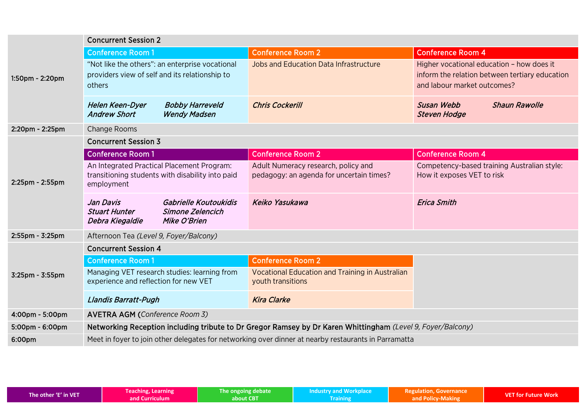|                 | <b>Concurrent Session 2</b>                                                                                       |                                                                                 |                                                                                                                            |  |  |  |
|-----------------|-------------------------------------------------------------------------------------------------------------------|---------------------------------------------------------------------------------|----------------------------------------------------------------------------------------------------------------------------|--|--|--|
|                 | <b>Conference Room 1</b>                                                                                          | <b>Conference Room 2</b>                                                        | <b>Conference Room 4</b>                                                                                                   |  |  |  |
| 1:50pm - 2:20pm | "Not like the others": an enterprise vocational<br>providers view of self and its relationship to<br>others       | Jobs and Education Data Infrastructure                                          | Higher vocational education - how does it<br>inform the relation between tertiary education<br>and labour market outcomes? |  |  |  |
|                 | Helen Keen-Dyer<br><b>Bobby Harreveld</b><br><b>Andrew Short</b><br><b>Wendy Madsen</b>                           | <b>Chris Cockerill</b>                                                          | <b>Susan Webb</b><br><b>Shaun Rawolle</b><br><b>Steven Hodge</b>                                                           |  |  |  |
| 2:20pm - 2:25pm | Change Rooms                                                                                                      |                                                                                 |                                                                                                                            |  |  |  |
|                 | <b>Concurrent Session 3</b>                                                                                       |                                                                                 |                                                                                                                            |  |  |  |
|                 | <b>Conference Room 1</b>                                                                                          | <b>Conference Room 2</b>                                                        | <b>Conference Room 4</b>                                                                                                   |  |  |  |
| 2:25pm - 2:55pm | An Integrated Practical Placement Program:<br>transitioning students with disability into paid<br>employment      | Adult Numeracy research, policy and<br>pedagogy: an agenda for uncertain times? | Competency-based training Australian style:<br>How it exposes VET to risk                                                  |  |  |  |
|                 | Jan Davis<br>Gabrielle Koutoukidis<br><b>Stuart Hunter</b><br>Simone Zelencich<br>Mike O'Brien<br>Debra Kiegaldie | Keiko Yasukawa                                                                  | <b>Erica Smith</b>                                                                                                         |  |  |  |
| 2:55pm - 3:25pm | Afternoon Tea (Level 9, Foyer/Balcony)                                                                            |                                                                                 |                                                                                                                            |  |  |  |
|                 | <b>Concurrent Session 4</b>                                                                                       |                                                                                 |                                                                                                                            |  |  |  |
|                 | <b>Conference Room 1</b>                                                                                          | <b>Conference Room 2</b>                                                        |                                                                                                                            |  |  |  |
| 3:25pm - 3:55pm | Managing VET research studies: learning from<br>experience and reflection for new VET                             | Vocational Education and Training in Australian<br>youth transitions            |                                                                                                                            |  |  |  |
|                 | Llandis Barratt-Pugh                                                                                              | <b>Kira Clarke</b>                                                              |                                                                                                                            |  |  |  |
| 4:00pm - 5:00pm | <b>AVETRA AGM (Conference Room 3)</b>                                                                             |                                                                                 |                                                                                                                            |  |  |  |
| 5:00pm - 6:00pm | Networking Reception including tribute to Dr Gregor Ramsey by Dr Karen Whittingham (Level 9, Foyer/Balcony)       |                                                                                 |                                                                                                                            |  |  |  |
| 6:00pm          | Meet in foyer to join other delegates for networking over dinner at nearby restaurants in Parramatta              |                                                                                 |                                                                                                                            |  |  |  |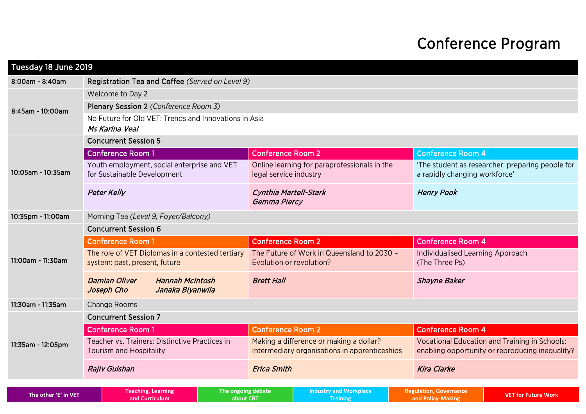## Conference Program

| Tuesday 18 June 2019 |                                                                                   |                    |                                                                                          |                                              |  |                                                                                                         |                                                  |
|----------------------|-----------------------------------------------------------------------------------|--------------------|------------------------------------------------------------------------------------------|----------------------------------------------|--|---------------------------------------------------------------------------------------------------------|--------------------------------------------------|
| 8:00am - 8:40am      | Registration Tea and Coffee (Served on Level 9)                                   |                    |                                                                                          |                                              |  |                                                                                                         |                                                  |
|                      | Welcome to Day 2                                                                  |                    |                                                                                          |                                              |  |                                                                                                         |                                                  |
| 8:45am - 10:00am     | Plenary Session 2 (Conference Room 3)                                             |                    |                                                                                          |                                              |  |                                                                                                         |                                                  |
|                      | No Future for Old VET: Trends and Innovations in Asia<br>Ms Karina Veal           |                    |                                                                                          |                                              |  |                                                                                                         |                                                  |
|                      | <b>Concurrent Session 5</b>                                                       |                    |                                                                                          |                                              |  |                                                                                                         |                                                  |
|                      | <b>Conference Room 1</b>                                                          |                    | <b>Conference Room 2</b>                                                                 |                                              |  | <b>Conference Room 4</b>                                                                                |                                                  |
| 10:05am - 10:35am    | Youth employment, social enterprise and VET<br>for Sustainable Development        |                    | legal service industry                                                                   | Online learning for paraprofessionals in the |  | a rapidly changing workforce'                                                                           | 'The student as researcher: preparing people for |
|                      | <b>Peter Kelly</b>                                                                |                    | Cynthia Martell-Stark<br>Gemma Piercy                                                    |                                              |  | <b>Henry Pook</b>                                                                                       |                                                  |
| 10:35pm - 11:00am    | Morning Tea (Level 9, Foyer/Balcony)                                              |                    |                                                                                          |                                              |  |                                                                                                         |                                                  |
|                      | <b>Concurrent Session 6</b>                                                       |                    |                                                                                          |                                              |  |                                                                                                         |                                                  |
|                      | <b>Conference Room 1</b>                                                          |                    | <b>Conference Room 2</b>                                                                 |                                              |  | <b>Conference Room 4</b>                                                                                |                                                  |
| 11:00am - 11:30am    | The role of VET Diplomas in a contested tertiary<br>system: past, present, future |                    | The Future of Work in Queensland to 2030 -<br>Evolution or revolution?                   |                                              |  | Individualised Learning Approach<br>(The Three Ps)                                                      |                                                  |
|                      | <b>Damian Oliver</b><br><b>Hannah McIntosh</b><br>Joseph Cho<br>Janaka Biyanwila  |                    | <b>Brett Hall</b>                                                                        |                                              |  | <b>Shayne Baker</b>                                                                                     |                                                  |
| 11:30am - 11:35am    | <b>Change Rooms</b>                                                               |                    |                                                                                          |                                              |  |                                                                                                         |                                                  |
|                      | <b>Concurrent Session 7</b>                                                       |                    |                                                                                          |                                              |  |                                                                                                         |                                                  |
|                      | <b>Conference Room 1</b>                                                          |                    | <b>Conference Room 2</b>                                                                 |                                              |  | <b>Conference Room 4</b>                                                                                |                                                  |
| 11:35am - 12:05pm    | Teacher vs. Trainers: Distinctive Practices in<br><b>Tourism and Hospitality</b>  |                    | Making a difference or making a dollar?<br>Intermediary organisations in apprenticeships |                                              |  | <b>Vocational Education and Training in Schools:</b><br>enabling opportunity or reproducing inequality? |                                                  |
|                      | <b>Rajiv Gulshan</b>                                                              |                    | <b>Erica Smith</b>                                                                       |                                              |  | <b>Kira Clarke</b>                                                                                      |                                                  |
| The other 'E' in VET | Teaching, Learning                                                                | The ongoing debate |                                                                                          | <b>Industry and Workplace</b>                |  | <b>Regulation, Governance</b>                                                                           | <b>VET for Future Work</b>                       |
|                      | and Curriculum                                                                    | about CBT          |                                                                                          | <b>Training</b>                              |  | and Policy-Making                                                                                       |                                                  |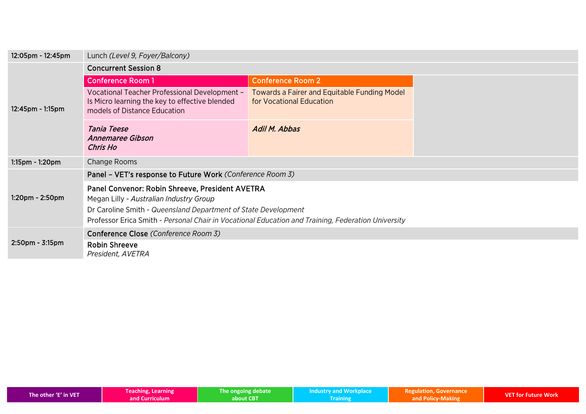| 12:05pm - 12:45pm     | Lunch (Level 9, Foyer/Balcony)                                                                                                                                                                                                                                     |                                                                                 |  |
|-----------------------|--------------------------------------------------------------------------------------------------------------------------------------------------------------------------------------------------------------------------------------------------------------------|---------------------------------------------------------------------------------|--|
| $12:45$ pm - 1:15pm   | <b>Concurrent Session 8</b>                                                                                                                                                                                                                                        |                                                                                 |  |
|                       | <b>Conference Room 1</b>                                                                                                                                                                                                                                           | <b>Conference Room 2</b>                                                        |  |
|                       | Vocational Teacher Professional Development -<br>Is Micro learning the key to effective blended<br>models of Distance Education                                                                                                                                    | <b>Towards a Fairer and Equitable Funding Model</b><br>for Vocational Education |  |
|                       | Tania Teese<br>Annemaree Gibson<br>Chris Ho                                                                                                                                                                                                                        | Adil M. Abbas                                                                   |  |
| $1:15$ pm - $1:20$ pm | Change Rooms                                                                                                                                                                                                                                                       |                                                                                 |  |
|                       | Panel - VET's response to Future Work (Conference Room 3)                                                                                                                                                                                                          |                                                                                 |  |
| $1:20$ pm - $2:50$ pm | Panel Convenor: Robin Shreeve, President AVETRA<br>Megan Lilly - Australian Industry Group<br>Dr Caroline Smith - Queensland Department of State Development<br>Professor Erica Smith - Personal Chair in Vocational Education and Training, Federation University |                                                                                 |  |
|                       | Conference Close (Conference Room 3)                                                                                                                                                                                                                               |                                                                                 |  |
| $2:50$ pm - $3:15$ pm | <b>Robin Shreeve</b><br>President, AVETRA                                                                                                                                                                                                                          |                                                                                 |  |

| The other 'E' in VET | <b>Teaching, Learning</b> | The ongoing debate | <b>Industry and Workplace</b> | <b>Regulation, Governance</b> | <b>VET for Future Work</b> |
|----------------------|---------------------------|--------------------|-------------------------------|-------------------------------|----------------------------|
|                      | and Curriculum            | about CBT          |                               | and Policy-Making             |                            |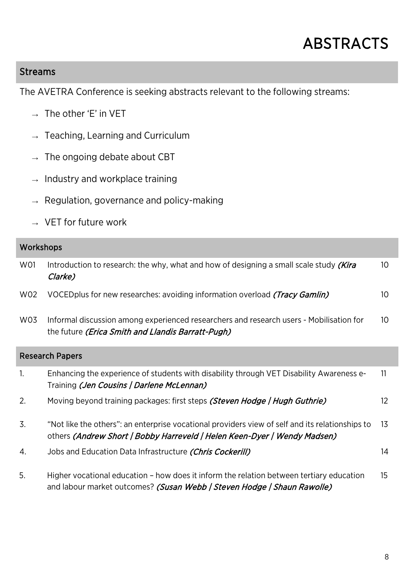## ABSTRACTS

#### Streams

The AVETRA Conference is seeking abstracts relevant to the following streams:

- **→** The other 'E' in VET
- **→** Teaching, Learning and Curriculum
- **→** The ongoing debate about CBT
- **→** Industry and workplace training
- **→** Regulation, governance and policy-making
- **→** VET for future work

#### Workshops

| W01 | Introduction to research: the why, what and how of designing a small scale study (Kira<br>Clarke)                                                                           | 10              |
|-----|-----------------------------------------------------------------------------------------------------------------------------------------------------------------------------|-----------------|
| W02 | VOCED plus for new researches: avoiding information overload <i>(Tracy Gamlin)</i>                                                                                          | 10              |
| W03 | Informal discussion among experienced researchers and research users - Mobilisation for<br>the future (Erica Smith and Llandis Barratt-Pugh)                                | 10              |
|     | <b>Research Papers</b>                                                                                                                                                      |                 |
| 1.  | Enhancing the experience of students with disability through VET Disability Awareness e-<br>Training (Jen Cousins   Darlene McLennan)                                       | 11              |
| 2.  | Moving beyond training packages: first steps (Steven Hodge   Hugh Guthrie)                                                                                                  | 12 <sup>2</sup> |
| 3.  | "Not like the others": an enterprise vocational providers view of self and its relationships to<br>others (Andrew Short   Bobby Harreveld   Helen Keen-Dyer   Wendy Madsen) | 13              |
| 4.  | Jobs and Education Data Infrastructure <i>(Chris Cockerill)</i>                                                                                                             | 14              |
| 5.  | Higher vocational education – how does it inform the relation between tertiary education                                                                                    | 15              |

and labour market outcomes? (Susan Webb | Steven Hodge | Shaun Rawolle)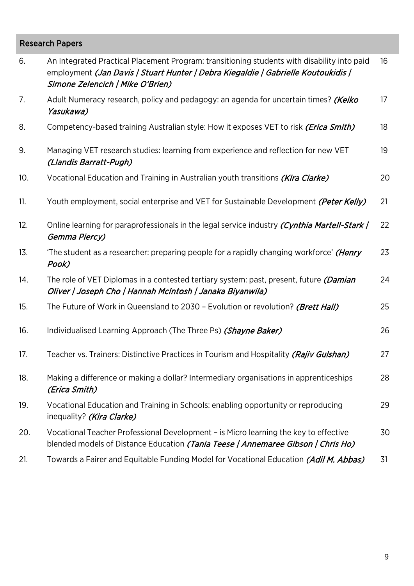#### Research Papers

| 6.  | An Integrated Practical Placement Program: transitioning students with disability into paid<br>employment (Jan Davis   Stuart Hunter   Debra Kiegaldie   Gabrielle Koutoukidis  <br>Simone Zelencich   Mike O'Brien) | 16 |
|-----|----------------------------------------------------------------------------------------------------------------------------------------------------------------------------------------------------------------------|----|
| 7.  | Adult Numeracy research, policy and pedagogy: an agenda for uncertain times? (Keiko<br>Yasukawa)                                                                                                                     | 17 |
| 8.  | Competency-based training Australian style: How it exposes VET to risk (Erica Smith)                                                                                                                                 | 18 |
| 9.  | Managing VET research studies: learning from experience and reflection for new VET<br>(Llandis Barratt-Pugh)                                                                                                         | 19 |
| 10. | Vocational Education and Training in Australian youth transitions (Kira Clarke)                                                                                                                                      | 20 |
| 11. | Youth employment, social enterprise and VET for Sustainable Development (Peter Kelly)                                                                                                                                | 21 |
| 12. | Online learning for paraprofessionals in the legal service industry (Cynthia Martell-Stark)<br>Gemma Piercy)                                                                                                         | 22 |
| 13. | 'The student as a researcher: preparing people for a rapidly changing workforce' ( <i>Henry</i><br>Pook)                                                                                                             | 23 |
| 14. | The role of VET Diplomas in a contested tertiary system: past, present, future <i>(Damian</i> )<br>Oliver   Joseph Cho   Hannah McIntosh   Janaka Biyanwila)                                                         | 24 |
| 15. | The Future of Work in Queensland to 2030 - Evolution or revolution? (Brett Hall)                                                                                                                                     | 25 |
| 16. | Individualised Learning Approach (The Three Ps) (Shayne Baker)                                                                                                                                                       | 26 |
| 17. | Teacher vs. Trainers: Distinctive Practices in Tourism and Hospitality (Rajiv Gulshan)                                                                                                                               | 27 |
| 18. | Making a difference or making a dollar? Intermediary organisations in apprenticeships<br>(Erica Smith)                                                                                                               | 28 |
| 19. | Vocational Education and Training in Schools: enabling opportunity or reproducing<br>inequality? (Kira Clarke)                                                                                                       | 29 |
| 20. | Vocational Teacher Professional Development – is Micro learning the key to effective<br>blended models of Distance Education (Tania Teese / Annemaree Gibson / Chris Ho)                                             | 30 |
| 21. | Towards a Fairer and Equitable Funding Model for Vocational Education (Adil M. Abbas)                                                                                                                                | 31 |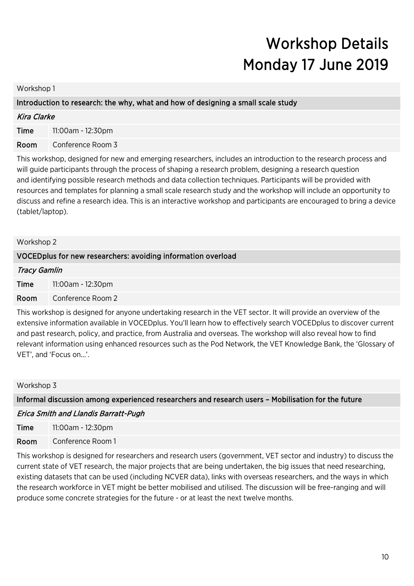## Workshop Details Monday 17 June 2019

Workshop 1

#### Introduction to research: the why, what and how of designing a small scale study

| <b>Kira Clarke</b> |                   |  |
|--------------------|-------------------|--|
| Time               | 11:00am - 12:30pm |  |

Room Conference Room 3

This workshop, designed for new and emerging researchers, includes an introduction to the research process and will guide participants through the process of shaping a research problem, designing a research question and identifying possible research methods and data collection techniques. Participants will be provided with resources and templates for planning a small scale research study and the workshop will include an opportunity to discuss and refine a research idea. This is an interactive workshop and participants are encouraged to bring a device (tablet/laptop).

| Workshop 2                                                                                                                                                                                                                              |                                                               |  |  |  |
|-----------------------------------------------------------------------------------------------------------------------------------------------------------------------------------------------------------------------------------------|---------------------------------------------------------------|--|--|--|
|                                                                                                                                                                                                                                         | VOCED plus for new researchers: avoiding information overload |  |  |  |
| <b>Tracy Gamlin</b>                                                                                                                                                                                                                     |                                                               |  |  |  |
| Time                                                                                                                                                                                                                                    | 11:00am - 12:30pm                                             |  |  |  |
| Room                                                                                                                                                                                                                                    | Conference Room 2                                             |  |  |  |
| This workshop is designed for anyone undertaking research in the VET sector. It will provide an overview of the<br>extensive information available in VOCED plus. You'll learn how to effectively search VOCED plus to discover current |                                                               |  |  |  |

and past research, policy, and practice, from Australia and overseas. The workshop will also reveal how to find relevant information using enhanced resources such as the Pod Network, the VET Knowledge Bank, the 'Glossary of VET', and 'Focus on...'.

#### Workshop 3

Informal discussion among experienced researchers and research users – Mobilisation for the future

#### Erica Smith and Llandis Barratt-Pugh

**Time** 11:00am - 12:30pm Room Conference Room 1

This workshop is designed for researchers and research users (government, VET sector and industry) to discuss the current state of VET research, the major projects that are being undertaken, the big issues that need researching, existing datasets that can be used (including NCVER data), links with overseas researchers, and the ways in which the research workforce in VET might be better mobilised and utilised. The discussion will be free-ranging and will produce some concrete strategies for the future - or at least the next twelve months.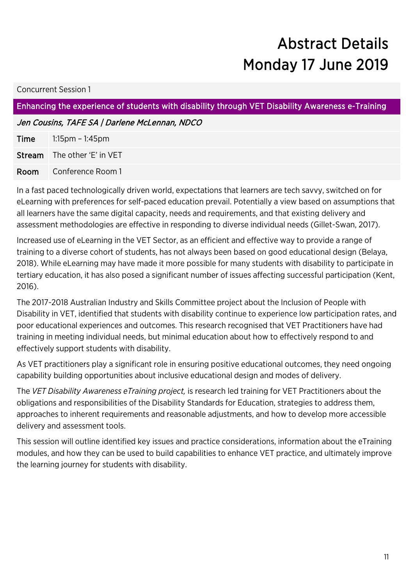## Abstract Details Monday 17 June 2019

#### Concurrent Session 1

Enhancing the experience of students with disability through VET Disability Awareness e-Training

Jen Cousins, TAFE SA | Darlene McLennan, NDCO

| <b>Time</b> | $1:15$ pm – $1:45$ pm              |
|-------------|------------------------------------|
|             | <b>Stream</b> The other 'E' in VET |
|             | <b>Room</b> Conference Room 1      |

In a fast paced technologically driven world, expectations that learners are tech savvy, switched on for eLearning with preferences for self-paced education prevail. Potentially a view based on assumptions that all learners have the same digital capacity, needs and requirements, and that existing delivery and assessment methodologies are effective in responding to diverse individual needs (Gillet-Swan, 2017).

Increased use of eLearning in the VET Sector, as an efficient and effective way to provide a range of training to a diverse cohort of students, has not always been based on good educational design (Belaya, 2018). While eLearning may have made it more possible for many students with disability to participate in tertiary education, it has also posed a significant number of issues affecting successful participation (Kent, 2016).

The 2017-2018 Australian Industry and Skills Committee project about the Inclusion of People with Disability in VET, identified that students with disability continue to experience low participation rates, and poor educational experiences and outcomes. This research recognised that VET Practitioners have had training in meeting individual needs, but minimal education about how to effectively respond to and effectively support students with disability.

As VET practitioners play a significant role in ensuring positive educational outcomes, they need ongoing capability building opportunities about inclusive educational design and modes of delivery.

The *VET Disability Awareness eTraining project,* is research led training for VET Practitioners about the obligations and responsibilities of the Disability Standards for Education, strategies to address them, approaches to inherent requirements and reasonable adjustments, and how to develop more accessible delivery and assessment tools.

This session will outline identified key issues and practice considerations, information about the eTraining modules, and how they can be used to build capabilities to enhance VET practice, and ultimately improve the learning journey for students with disability.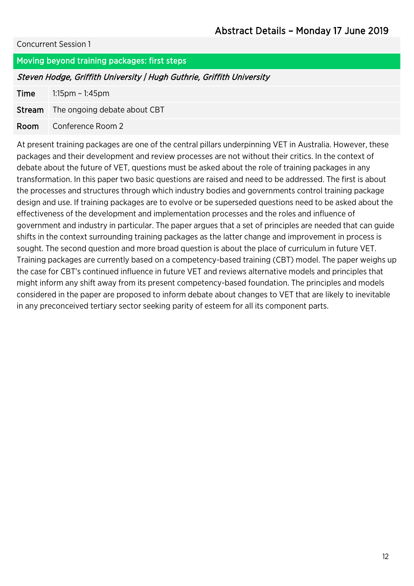#### Moving beyond training packages: first steps

#### Steven Hodge, Griffith University | Hugh Guthrie, Griffith University

Time 1:15pm – 1:45pm

Stream The ongoing debate about CBT

Room Conference Room 2

At present training packages are one of the central pillars underpinning VET in Australia. However, these packages and their development and review processes are not without their critics. In the context of debate about the future of VET, questions must be asked about the role of training packages in any transformation. In this paper two basic questions are raised and need to be addressed. The first is about the processes and structures through which industry bodies and governments control training package design and use. If training packages are to evolve or be superseded questions need to be asked about the effectiveness of the development and implementation processes and the roles and influence of government and industry in particular. The paper argues that a set of principles are needed that can guide shifts in the context surrounding training packages as the latter change and improvement in process is sought. The second question and more broad question is about the place of curriculum in future VET. Training packages are currently based on a competency-based training (CBT) model. The paper weighs up the case for CBT's continued influence in future VET and reviews alternative models and principles that might inform any shift away from its present competency-based foundation. The principles and models considered in the paper are proposed to inform debate about changes to VET that are likely to inevitable in any preconceived tertiary sector seeking parity of esteem for all its component parts.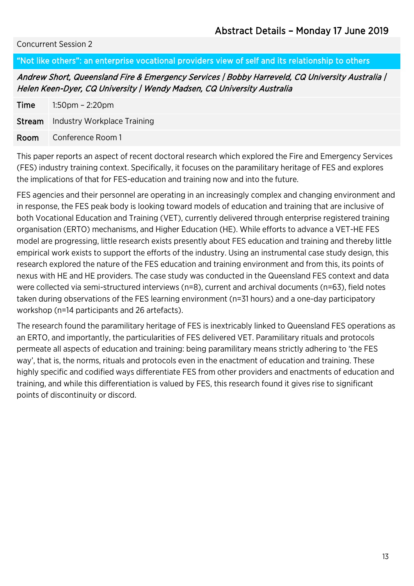#### "Not like others": an enterprise vocational providers view of self and its relationship to others

Andrew Short, Queensland Fire & Emergency Services | Bobby Harreveld, CQ University Australia | Helen Keen-Dyer, CQ University | Wendy Madsen, CQ University Australia

| <b>Time</b> | 1:50pm – 2:20pm                           |
|-------------|-------------------------------------------|
|             | <b>Stream</b> Industry Workplace Training |
| Room        | Conference Room 1                         |

This paper reports an aspect of recent doctoral research which explored the Fire and Emergency Services (FES) industry training context. Specifically, it focuses on the paramilitary heritage of FES and explores the implications of that for FES-education and training now and into the future.

FES agencies and their personnel are operating in an increasingly complex and changing environment and in response, the FES peak body is looking toward models of education and training that are inclusive of both Vocational Education and Training (VET), currently delivered through enterprise registered training organisation (ERTO) mechanisms, and Higher Education (HE). While efforts to advance a VET-HE FES model are progressing, little research exists presently about FES education and training and thereby little empirical work exists to support the efforts of the industry. Using an instrumental case study design, this research explored the nature of the FES education and training environment and from this, its points of nexus with HE and HE providers. The case study was conducted in the Queensland FES context and data were collected via semi-structured interviews (n=8), current and archival documents (n=63), field notes taken during observations of the FES learning environment (n=31 hours) and a one-day participatory workshop (n=14 participants and 26 artefacts).

The research found the paramilitary heritage of FES is inextricably linked to Queensland FES operations as an ERTO, and importantly, the particularities of FES delivered VET. Paramilitary rituals and protocols permeate all aspects of education and training: being paramilitary means strictly adhering to 'the FES way', that is, the norms, rituals and protocols even in the enactment of education and training. These highly specific and codified ways differentiate FES from other providers and enactments of education and training, and while this differentiation is valued by FES, this research found it gives rise to significant points of discontinuity or discord.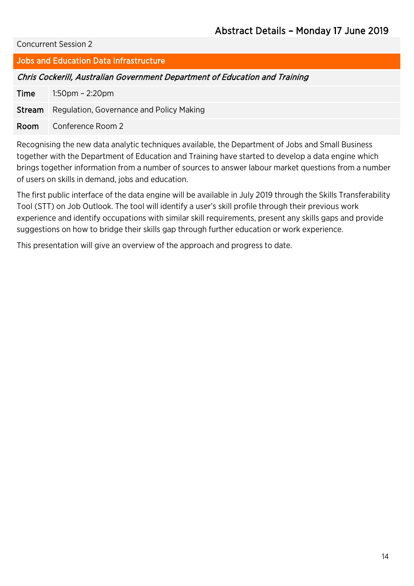#### Jobs and Education Data Infrastructure

#### Chris Cockerill, Australian Government Department of Education and Training

Time 1:50pm – 2:20pm

Stream Regulation, Governance and Policy Making

Room Conference Room 2

Recognising the new data analytic techniques available, the Department of Jobs and Small Business together with the Department of Education and Training have started to develop a data engine which brings together information from a number of sources to answer labour market questions from a number of users on skills in demand, jobs and education.

The first public interface of the data engine will be available in July 2019 through the Skills Transferability Tool (STT) on Job Outlook. The tool will identify a user's skill profile through their previous work experience and identify occupations with similar skill requirements, present any skills gaps and provide suggestions on how to bridge their skills gap through further education or work experience.

This presentation will give an overview of the approach and progress to date.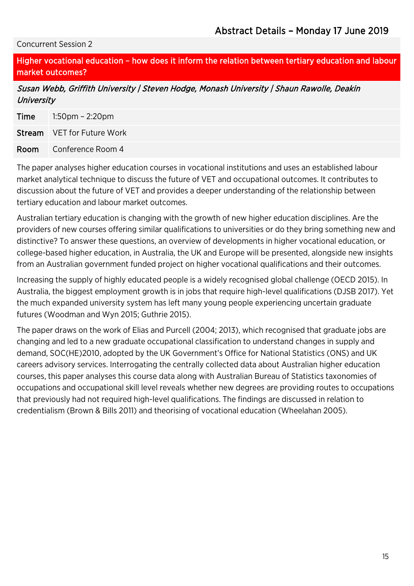Higher vocational education – how does it inform the relation between tertiary education and labour market outcomes?

Susan Webb, Griffith University | Steven Hodge, Monash University | Shaun Rawolle, Deakin **University** 

| <b>Time</b> | $1:50$ pm – $2:20$ pm             |
|-------------|-----------------------------------|
|             | <b>Stream</b> VET for Future Work |
| Room        | Conference Room 4                 |

The paper analyses higher education courses in vocational institutions and uses an established labour market analytical technique to discuss the future of VET and occupational outcomes. It contributes to discussion about the future of VET and provides a deeper understanding of the relationship between tertiary education and labour market outcomes.

Australian tertiary education is changing with the growth of new higher education disciplines. Are the providers of new courses offering similar qualifications to universities or do they bring something new and distinctive? To answer these questions, an overview of developments in higher vocational education, or college-based higher education, in Australia, the UK and Europe will be presented, alongside new insights from an Australian government funded project on higher vocational qualifications and their outcomes.

Increasing the supply of highly educated people is a widely recognised global challenge (OECD 2015). In Australia, the biggest employment growth is in jobs that require high-level qualifications (DJSB 2017). Yet the much expanded university system has left many young people experiencing uncertain graduate futures (Woodman and Wyn 2015; Guthrie 2015).

The paper draws on the work of Elias and Purcell (2004; 2013), which recognised that graduate jobs are changing and led to a new graduate occupational classification to understand changes in supply and demand, SOC(HE)2010, adopted by the UK Government's Office for National Statistics (ONS) and UK careers advisory services. Interrogating the centrally collected data about Australian higher education courses, this paper analyses this course data along with Australian Bureau of Statistics taxonomies of occupations and occupational skill level reveals whether new degrees are providing routes to occupations that previously had not required high-level qualifications. The findings are discussed in relation to credentialism (Brown & Bills 2011) and theorising of vocational education (Wheelahan 2005).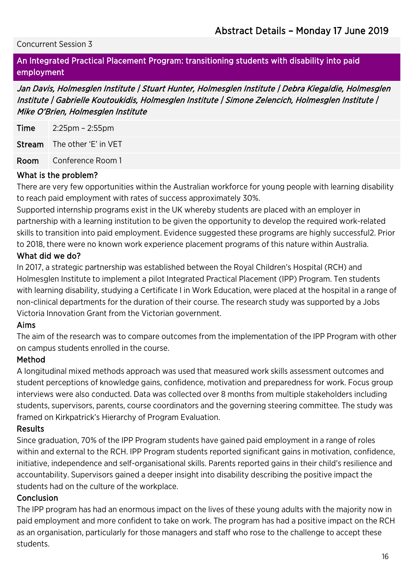#### An Integrated Practical Placement Program: transitioning students with disability into paid employment

Jan Davis, Holmesglen Institute | Stuart Hunter, Holmesglen Institute | Debra Kiegaldie, Holmesglen Institute | Gabrielle Koutoukidis, Holmesglen Institute | Simone Zelencich, Holmesglen Institute | Mike O'Brien, Holmesglen Institute

Time 2:25pm – 2:55pm

Stream The other 'E' in VET

Room Conference Room 1

#### What is the problem?

There are very few opportunities within the Australian workforce for young people with learning disability to reach paid employment with rates of success approximately 30%.

Supported internship programs exist in the UK whereby students are placed with an employer in partnership with a learning institution to be given the opportunity to develop the required work-related skills to transition into paid employment. Evidence suggested these programs are highly successful2. Prior to 2018, there were no known work experience placement programs of this nature within Australia.

#### What did we do?

In 2017, a strategic partnership was established between the Royal Children's Hospital (RCH) and Holmesglen Institute to implement a pilot Integrated Practical Placement (IPP) Program. Ten students with learning disability, studying a Certificate I in Work Education, were placed at the hospital in a range of non-clinical departments for the duration of their course. The research study was supported by a Jobs Victoria Innovation Grant from the Victorian government.

#### Aims

The aim of the research was to compare outcomes from the implementation of the IPP Program with other on campus students enrolled in the course.

#### Method

A longitudinal mixed methods approach was used that measured work skills assessment outcomes and student perceptions of knowledge gains, confidence, motivation and preparedness for work. Focus group interviews were also conducted. Data was collected over 8 months from multiple stakeholders including students, supervisors, parents, course coordinators and the governing steering committee. The study was framed on Kirkpatrick's Hierarchy of Program Evaluation.

#### Results

Since graduation, 70% of the IPP Program students have gained paid employment in a range of roles within and external to the RCH. IPP Program students reported significant gains in motivation, confidence, initiative, independence and self-organisational skills. Parents reported gains in their child's resilience and accountability. Supervisors gained a deeper insight into disability describing the positive impact the students had on the culture of the workplace.

#### Conclusion

The IPP program has had an enormous impact on the lives of these young adults with the majority now in paid employment and more confident to take on work. The program has had a positive impact on the RCH as an organisation, particularly for those managers and staff who rose to the challenge to accept these students.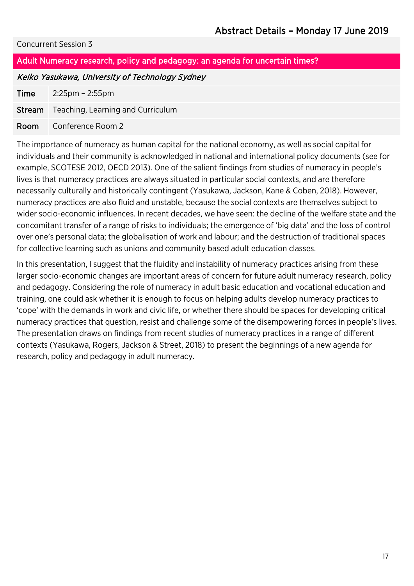#### Adult Numeracy research, policy and pedagogy: an agenda for uncertain times?

#### Keiko Yasukawa, University of Technology Sydney

Time 2:25pm – 2:55pm

Stream Teaching, Learning and Curriculum

Room Conference Room 2

The importance of numeracy as human capital for the national economy, as well as social capital for individuals and their community is acknowledged in national and international policy documents (see for example, SCOTESE 2012, OECD 2013). One of the salient findings from studies of numeracy in people's lives is that numeracy practices are always situated in particular social contexts, and are therefore necessarily culturally and historically contingent (Yasukawa, Jackson, Kane & Coben, 2018). However, numeracy practices are also fluid and unstable, because the social contexts are themselves subject to wider socio-economic influences. In recent decades, we have seen: the decline of the welfare state and the concomitant transfer of a range of risks to individuals; the emergence of 'big data' and the loss of control over one's personal data; the globalisation of work and labour; and the destruction of traditional spaces for collective learning such as unions and community based adult education classes.

In this presentation, I suggest that the fluidity and instability of numeracy practices arising from these larger socio-economic changes are important areas of concern for future adult numeracy research, policy and pedagogy. Considering the role of numeracy in adult basic education and vocational education and training, one could ask whether it is enough to focus on helping adults develop numeracy practices to 'cope' with the demands in work and civic life, or whether there should be spaces for developing critical numeracy practices that question, resist and challenge some of the disempowering forces in people's lives. The presentation draws on findings from recent studies of numeracy practices in a range of different contexts (Yasukawa, Rogers, Jackson & Street, 2018) to present the beginnings of a new agenda for research, policy and pedagogy in adult numeracy.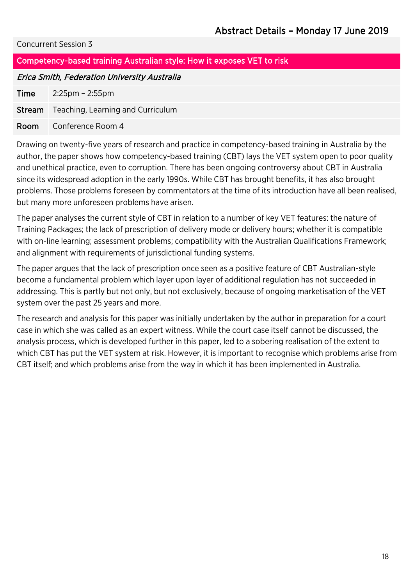#### Competency-based training Australian style: How it exposes VET to risk

#### Erica Smith, Federation University Australia

Time 2:25pm – 2:55pm

Stream Teaching, Learning and Curriculum

#### Room Conference Room 4

Drawing on twenty-five years of research and practice in competency-based training in Australia by the author, the paper shows how competency-based training (CBT) lays the VET system open to poor quality and unethical practice, even to corruption. There has been ongoing controversy about CBT in Australia since its widespread adoption in the early 1990s. While CBT has brought benefits, it has also brought problems. Those problems foreseen by commentators at the time of its introduction have all been realised, but many more unforeseen problems have arisen.

The paper analyses the current style of CBT in relation to a number of key VET features: the nature of Training Packages; the lack of prescription of delivery mode or delivery hours; whether it is compatible with on-line learning; assessment problems; compatibility with the Australian Qualifications Framework; and alignment with requirements of jurisdictional funding systems.

The paper argues that the lack of prescription once seen as a positive feature of CBT Australian-style become a fundamental problem which layer upon layer of additional regulation has not succeeded in addressing. This is partly but not only, but not exclusively, because of ongoing marketisation of the VET system over the past 25 years and more.

The research and analysis for this paper was initially undertaken by the author in preparation for a court case in which she was called as an expert witness. While the court case itself cannot be discussed, the analysis process, which is developed further in this paper, led to a sobering realisation of the extent to which CBT has put the VET system at risk. However, it is important to recognise which problems arise from CBT itself; and which problems arise from the way in which it has been implemented in Australia.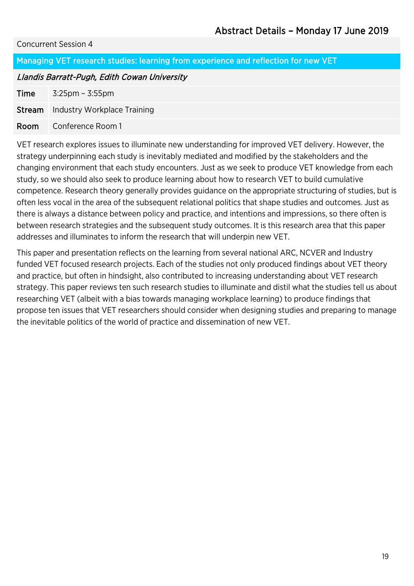Managing VET research studies: learning from experience and reflection for new VET

#### Llandis Barratt-Pugh, Edith Cowan University

**Time**  $3:25 \text{pm} - 3:55 \text{pm}$ 

**Stream** Industry Workplace Training

#### Room Conference Room 1

VET research explores issues to illuminate new understanding for improved VET delivery. However, the strategy underpinning each study is inevitably mediated and modified by the stakeholders and the changing environment that each study encounters. Just as we seek to produce VET knowledge from each study, so we should also seek to produce learning about how to research VET to build cumulative competence. Research theory generally provides guidance on the appropriate structuring of studies, but is often less vocal in the area of the subsequent relational politics that shape studies and outcomes. Just as there is always a distance between policy and practice, and intentions and impressions, so there often is between research strategies and the subsequent study outcomes. It is this research area that this paper addresses and illuminates to inform the research that will underpin new VET.

This paper and presentation reflects on the learning from several national ARC, NCVER and Industry funded VET focused research projects. Each of the studies not only produced findings about VET theory and practice, but often in hindsight, also contributed to increasing understanding about VET research strategy. This paper reviews ten such research studies to illuminate and distil what the studies tell us about researching VET (albeit with a bias towards managing workplace learning) to produce findings that propose ten issues that VET researchers should consider when designing studies and preparing to manage the inevitable politics of the world of practice and dissemination of new VET.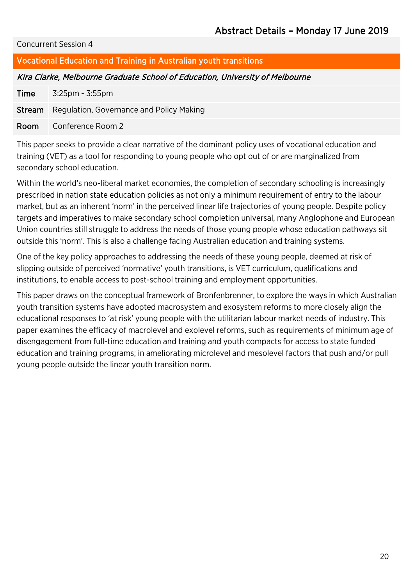#### Vocational Education and Training in Australian youth transitions

#### Kira Clarke, Melbourne Graduate School of Education, University of Melbourne

Time 3:25pm - 3:55pm

Stream Regulation, Governance and Policy Making

Room Conference Room 2

This paper seeks to provide a clear narrative of the dominant policy uses of vocational education and training (VET) as a tool for responding to young people who opt out of or are marginalized from secondary school education.

Within the world's neo-liberal market economies, the completion of secondary schooling is increasingly prescribed in nation state education policies as not only a minimum requirement of entry to the labour market, but as an inherent 'norm' in the perceived linear life trajectories of young people. Despite policy targets and imperatives to make secondary school completion universal, many Anglophone and European Union countries still struggle to address the needs of those young people whose education pathways sit outside this 'norm'. This is also a challenge facing Australian education and training systems.

One of the key policy approaches to addressing the needs of these young people, deemed at risk of slipping outside of perceived 'normative' youth transitions, is VET curriculum, qualifications and institutions, to enable access to post-school training and employment opportunities.

This paper draws on the conceptual framework of Bronfenbrenner, to explore the ways in which Australian youth transition systems have adopted macrosystem and exosystem reforms to more closely align the educational responses to 'at risk' young people with the utilitarian labour market needs of industry. This paper examines the efficacy of macrolevel and exolevel reforms, such as requirements of minimum age of disengagement from full-time education and training and youth compacts for access to state funded education and training programs; in ameliorating microlevel and mesolevel factors that push and/or pull young people outside the linear youth transition norm.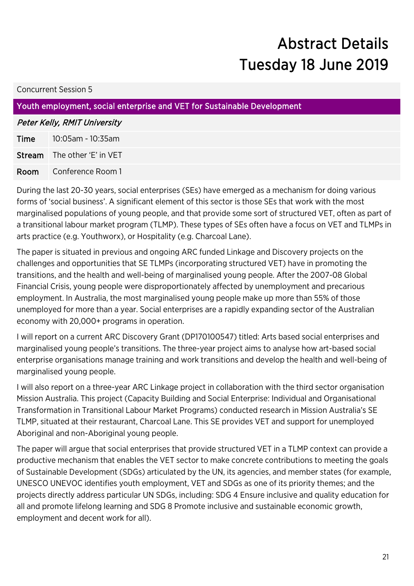## Abstract Details Tuesday 18 June 2019

#### Concurrent Session 5

#### Youth employment, social enterprise and VET for Sustainable Development

#### Peter Kelly, RMIT University

Time 10:05am - 10:35am Stream The other 'E' in VET Room Conference Room 1

During the last 20-30 years, social enterprises (SEs) have emerged as a mechanism for doing various forms of 'social business'. A significant element of this sector is those SEs that work with the most marginalised populations of young people, and that provide some sort of structured VET, often as part of a transitional labour market program (TLMP). These types of SEs often have a focus on VET and TLMPs in arts practice (e.g. Youthworx), or Hospitality (e.g. Charcoal Lane).

The paper is situated in previous and ongoing ARC funded Linkage and Discovery projects on the challenges and opportunities that SE TLMPs (incorporating structured VET) have in promoting the transitions, and the health and well-being of marginalised young people. After the 2007-08 Global Financial Crisis, young people were disproportionately affected by unemployment and precarious employment. In Australia, the most marginalised young people make up more than 55% of those unemployed for more than a year. Social enterprises are a rapidly expanding sector of the Australian economy with 20,000+ programs in operation.

I will report on a current ARC Discovery Grant (DP170100547) titled: Arts based social enterprises and marginalised young people's transitions. The three-year project aims to analyse how art-based social enterprise organisations manage training and work transitions and develop the health and well-being of marginalised young people.

I will also report on a three-year ARC Linkage project in collaboration with the third sector organisation Mission Australia. This project (Capacity Building and Social Enterprise: Individual and Organisational Transformation in Transitional Labour Market Programs) conducted research in Mission Australia's SE TLMP, situated at their restaurant, Charcoal Lane. This SE provides VET and support for unemployed Aboriginal and non-Aboriginal young people.

The paper will argue that social enterprises that provide structured VET in a TLMP context can provide a productive mechanism that enables the VET sector to make concrete contributions to meeting the goals of Sustainable Development (SDGs) articulated by the UN, its agencies, and member states (for example, UNESCO UNEVOC identifies youth employment, VET and SDGs as one of its priority themes; and the projects directly address particular UN SDGs, including: SDG 4 Ensure inclusive and quality education for all and promote lifelong learning and SDG 8 Promote inclusive and sustainable economic growth, employment and decent work for all).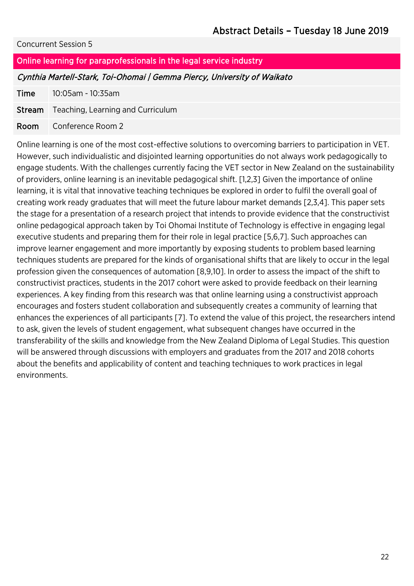#### Online learning for paraprofessionals in the legal service industry

#### Cynthia Martell-Stark, Toi-Ohomai | Gemma Piercy, University of Waikato

Time 10:05am - 10:35am

Stream Teaching, Learning and Curriculum

Room Conference Room 2

Online learning is one of the most cost-effective solutions to overcoming barriers to participation in VET. However, such individualistic and disjointed learning opportunities do not always work pedagogically to engage students. With the challenges currently facing the VET sector in New Zealand on the sustainability of providers, online learning is an inevitable pedagogical shift. [1,2,3] Given the importance of online learning, it is vital that innovative teaching techniques be explored in order to fulfil the overall goal of creating work ready graduates that will meet the future labour market demands [2,3,4]. This paper sets the stage for a presentation of a research project that intends to provide evidence that the constructivist online pedagogical approach taken by Toi Ohomai Institute of Technology is effective in engaging legal executive students and preparing them for their role in legal practice [5,6,7]. Such approaches can improve learner engagement and more importantly by exposing students to problem based learning techniques students are prepared for the kinds of organisational shifts that are likely to occur in the legal profession given the consequences of automation [8,9,10]. In order to assess the impact of the shift to constructivist practices, students in the 2017 cohort were asked to provide feedback on their learning experiences. A key finding from this research was that online learning using a constructivist approach encourages and fosters student collaboration and subsequently creates a community of learning that enhances the experiences of all participants [7]. To extend the value of this project, the researchers intend to ask, given the levels of student engagement, what subsequent changes have occurred in the transferability of the skills and knowledge from the New Zealand Diploma of Legal Studies. This question will be answered through discussions with employers and graduates from the 2017 and 2018 cohorts about the benefits and applicability of content and teaching techniques to work practices in legal environments.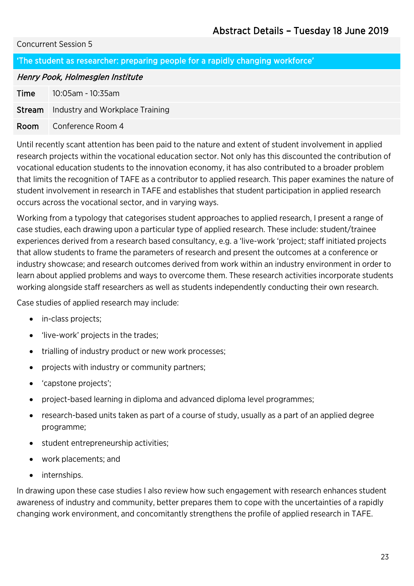#### 'The student as researcher: preparing people for a rapidly changing workforce'

#### Henry Pook, Holmesglen Institute

Time 10:05am - 10:35am

**Stream** Industry and Workplace Training

#### Room Conference Room 4

Until recently scant attention has been paid to the nature and extent of student involvement in applied research projects within the vocational education sector. Not only has this discounted the contribution of vocational education students to the innovation economy, it has also contributed to a broader problem that limits the recognition of TAFE as a contributor to applied research. This paper examines the nature of student involvement in research in TAFE and establishes that student participation in applied research occurs across the vocational sector, and in varying ways.

Working from a typology that categorises student approaches to applied research, I present a range of case studies, each drawing upon a particular type of applied research. These include: student/trainee experiences derived from a research based consultancy, e.g. a 'live-work 'project; staff initiated projects that allow students to frame the parameters of research and present the outcomes at a conference or industry showcase; and research outcomes derived from work within an industry environment in order to learn about applied problems and ways to overcome them. These research activities incorporate students working alongside staff researchers as well as students independently conducting their own research.

Case studies of applied research may include:

- in-class projects;
- 'live-work' projects in the trades;
- trialling of industry product or new work processes;
- projects with industry or community partners;
- 'capstone projects';
- project-based learning in diploma and advanced diploma level programmes;
- research-based units taken as part of a course of study, usually as a part of an applied degree programme;
- student entrepreneurship activities;
- work placements; and
- internships.

In drawing upon these case studies I also review how such engagement with research enhances student awareness of industry and community, better prepares them to cope with the uncertainties of a rapidly changing work environment, and concomitantly strengthens the profile of applied research in TAFE.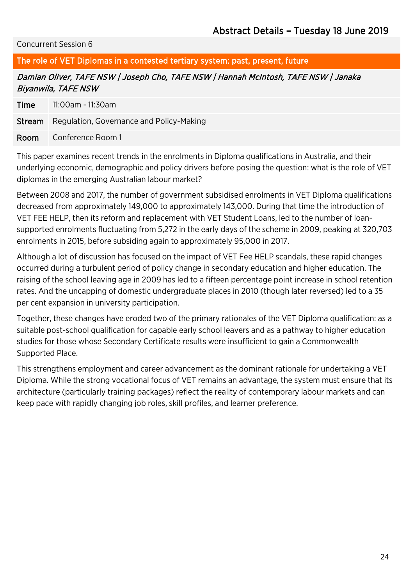The role of VET Diplomas in a contested tertiary system: past, present, future

Damian Oliver, TAFE NSW | Joseph Cho, TAFE NSW | Hannah McIntosh, TAFE NSW | Janaka Biyanwila, TAFE NSW

Time 11:00am - 11:30am

**Stream** Regulation, Governance and Policy-Making

Room Conference Room 1

This paper examines recent trends in the enrolments in Diploma qualifications in Australia, and their underlying economic, demographic and policy drivers before posing the question: what is the role of VET diplomas in the emerging Australian labour market?

Between 2008 and 2017, the number of government subsidised enrolments in VET Diploma qualifications decreased from approximately 149,000 to approximately 143,000. During that time the introduction of VET FEE HELP, then its reform and replacement with VET Student Loans, led to the number of loansupported enrolments fluctuating from 5,272 in the early days of the scheme in 2009, peaking at 320,703 enrolments in 2015, before subsiding again to approximately 95,000 in 2017.

Although a lot of discussion has focused on the impact of VET Fee HELP scandals, these rapid changes occurred during a turbulent period of policy change in secondary education and higher education. The raising of the school leaving age in 2009 has led to a fifteen percentage point increase in school retention rates. And the uncapping of domestic undergraduate places in 2010 (though later reversed) led to a 35 per cent expansion in university participation.

Together, these changes have eroded two of the primary rationales of the VET Diploma qualification: as a suitable post-school qualification for capable early school leavers and as a pathway to higher education studies for those whose Secondary Certificate results were insufficient to gain a Commonwealth Supported Place.

This strengthens employment and career advancement as the dominant rationale for undertaking a VET Diploma. While the strong vocational focus of VET remains an advantage, the system must ensure that its architecture (particularly training packages) reflect the reality of contemporary labour markets and can keep pace with rapidly changing job roles, skill profiles, and learner preference.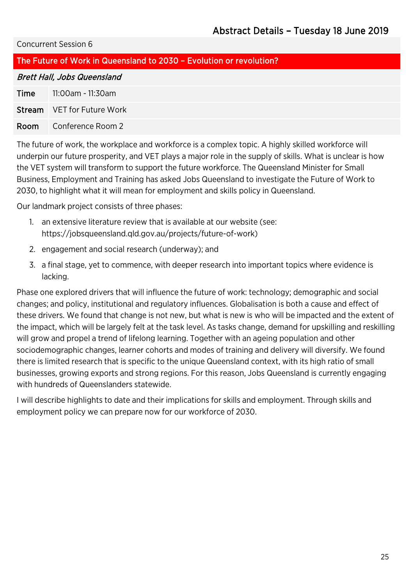| The Future of Work in Queensland to 2030 - Evolution or revolution? |                                   |  |
|---------------------------------------------------------------------|-----------------------------------|--|
| <b>Brett Hall, Jobs Queensland</b>                                  |                                   |  |
| Time                                                                | 11:00am - 11:30am                 |  |
|                                                                     | <b>Stream</b> VET for Future Work |  |
| Room                                                                | Conference Room 2                 |  |

The future of work, the workplace and workforce is a complex topic. A highly skilled workforce will underpin our future prosperity, and VET plays a major role in the supply of skills. What is unclear is how the VET system will transform to support the future workforce. The Queensland Minister for Small Business, Employment and Training has asked Jobs Queensland to investigate the Future of Work to 2030, to highlight what it will mean for employment and skills policy in Queensland.

Our landmark project consists of three phases:

- 1. an extensive literature review that is available at our website (see: https://jobsqueensland.qld.gov.au/projects/future-of-work)
- 2. engagement and social research (underway); and
- 3. a final stage, yet to commence, with deeper research into important topics where evidence is lacking.

Phase one explored drivers that will influence the future of work: technology; demographic and social changes; and policy, institutional and regulatory influences. Globalisation is both a cause and effect of these drivers. We found that change is not new, but what is new is who will be impacted and the extent of the impact, which will be largely felt at the task level. As tasks change, demand for upskilling and reskilling will grow and propel a trend of lifelong learning. Together with an ageing population and other sociodemographic changes, learner cohorts and modes of training and delivery will diversify. We found there is limited research that is specific to the unique Queensland context, with its high ratio of small businesses, growing exports and strong regions. For this reason, Jobs Queensland is currently engaging with hundreds of Queenslanders statewide.

I will describe highlights to date and their implications for skills and employment. Through skills and employment policy we can prepare now for our workforce of 2030.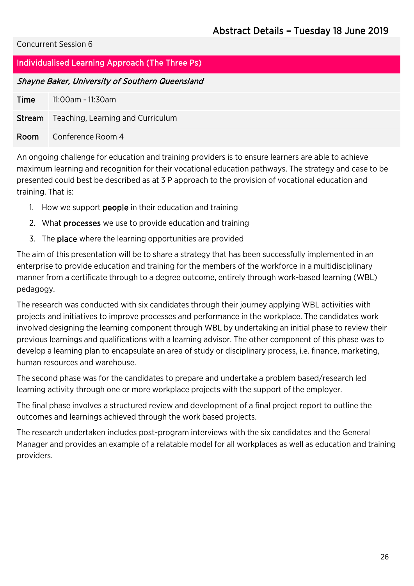#### Individualised Learning Approach (The Three Ps)

#### Shayne Baker, University of Southern Queensland

| Time | 11:00am - 11:30am                               |
|------|-------------------------------------------------|
|      | <b>Stream</b> Teaching, Learning and Curriculum |
| Room | Conference Room 4                               |

An ongoing challenge for education and training providers is to ensure learners are able to achieve maximum learning and recognition for their vocational education pathways. The strategy and case to be presented could best be described as at 3 P approach to the provision of vocational education and training. That is:

- 1. How we support **people** in their education and training
- 2. What processes we use to provide education and training
- 3. The place where the learning opportunities are provided

The aim of this presentation will be to share a strategy that has been successfully implemented in an enterprise to provide education and training for the members of the workforce in a multidisciplinary manner from a certificate through to a degree outcome, entirely through work-based learning (WBL) pedagogy.

The research was conducted with six candidates through their journey applying WBL activities with projects and initiatives to improve processes and performance in the workplace. The candidates work involved designing the learning component through WBL by undertaking an initial phase to review their previous learnings and qualifications with a learning advisor. The other component of this phase was to develop a learning plan to encapsulate an area of study or disciplinary process, i.e. finance, marketing, human resources and warehouse.

The second phase was for the candidates to prepare and undertake a problem based/research led learning activity through one or more workplace projects with the support of the employer.

The final phase involves a structured review and development of a final project report to outline the outcomes and learnings achieved through the work based projects.

The research undertaken includes post-program interviews with the six candidates and the General Manager and provides an example of a relatable model for all workplaces as well as education and training providers.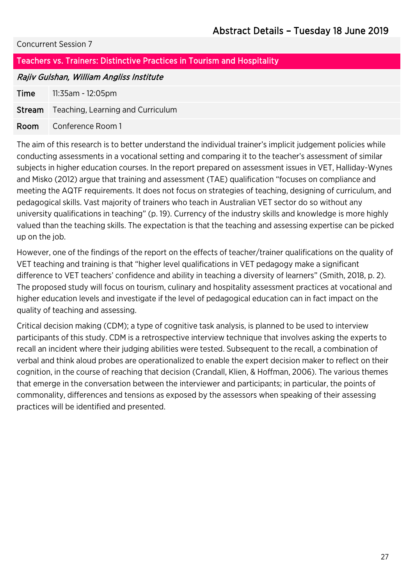| Teachers vs. Trainers: Distinctive Practices in Tourism and Hospitality |                                   |  |
|-------------------------------------------------------------------------|-----------------------------------|--|
| Rajiv Gulshan, William Angliss Institute                                |                                   |  |
| Time                                                                    | 11:35am - 12:05pm                 |  |
| Stream                                                                  | Teaching, Learning and Curriculum |  |
| Room                                                                    | Conference Room 1                 |  |
|                                                                         |                                   |  |

The aim of this research is to better understand the individual trainer's implicit judgement policies while conducting assessments in a vocational setting and comparing it to the teacher's assessment of similar subjects in higher education courses. In the report prepared on assessment issues in VET, Halliday-Wynes and Misko (2012) argue that training and assessment (TAE) qualification "focuses on compliance and meeting the AQTF requirements. It does not focus on strategies of teaching, designing of curriculum, and pedagogical skills. Vast majority of trainers who teach in Australian VET sector do so without any university qualifications in teaching" (p. 19). Currency of the industry skills and knowledge is more highly valued than the teaching skills. The expectation is that the teaching and assessing expertise can be picked up on the job.

However, one of the findings of the report on the effects of teacher/trainer qualifications on the quality of VET teaching and training is that "higher level qualifications in VET pedagogy make a significant difference to VET teachers' confidence and ability in teaching a diversity of learners" (Smith, 2018, p. 2). The proposed study will focus on tourism, culinary and hospitality assessment practices at vocational and higher education levels and investigate if the level of pedagogical education can in fact impact on the quality of teaching and assessing.

Critical decision making (CDM); a type of cognitive task analysis, is planned to be used to interview participants of this study. CDM is a retrospective interview technique that involves asking the experts to recall an incident where their judging abilities were tested. Subsequent to the recall, a combination of verbal and think aloud probes are operationalized to enable the expert decision maker to reflect on their cognition, in the course of reaching that decision (Crandall, Klien, & Hoffman, 2006). The various themes that emerge in the conversation between the interviewer and participants; in particular, the points of commonality, differences and tensions as exposed by the assessors when speaking of their assessing practices will be identified and presented.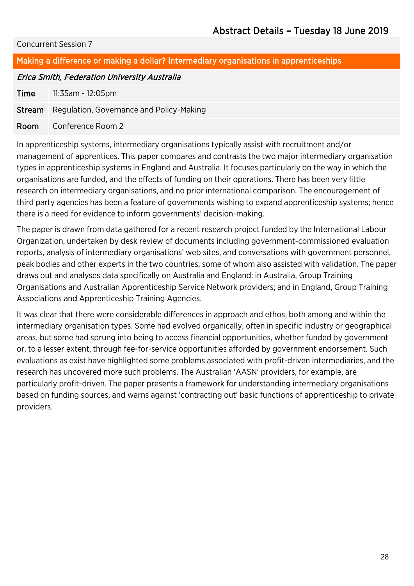#### Making a difference or making a dollar? Intermediary organisations in apprenticeships

#### Erica Smith, Federation University Australia

Time 11:35am - 12:05pm

Stream Regulation, Governance and Policy-Making

Room Conference Room 2

In apprenticeship systems, intermediary organisations typically assist with recruitment and/or management of apprentices. This paper compares and contrasts the two major intermediary organisation types in apprenticeship systems in England and Australia. It focuses particularly on the way in which the organisations are funded, and the effects of funding on their operations. There has been very little research on intermediary organisations, and no prior international comparison. The encouragement of third party agencies has been a feature of governments wishing to expand apprenticeship systems; hence there is a need for evidence to inform governments' decision-making.

The paper is drawn from data gathered for a recent research project funded by the International Labour Organization, undertaken by desk review of documents including government-commissioned evaluation reports, analysis of intermediary organisations' web sites, and conversations with government personnel, peak bodies and other experts in the two countries, some of whom also assisted with validation. The paper draws out and analyses data specifically on Australia and England: in Australia, Group Training Organisations and Australian Apprenticeship Service Network providers; and in England, Group Training Associations and Apprenticeship Training Agencies.

It was clear that there were considerable differences in approach and ethos, both among and within the intermediary organisation types. Some had evolved organically, often in specific industry or geographical areas, but some had sprung into being to access financial opportunities, whether funded by government or, to a lesser extent, through fee-for-service opportunities afforded by government endorsement. Such evaluations as exist have highlighted some problems associated with profit-driven intermediaries, and the research has uncovered more such problems. The Australian 'AASN' providers, for example, are particularly profit-driven. The paper presents a framework for understanding intermediary organisations based on funding sources, and warns against 'contracting out' basic functions of apprenticeship to private providers.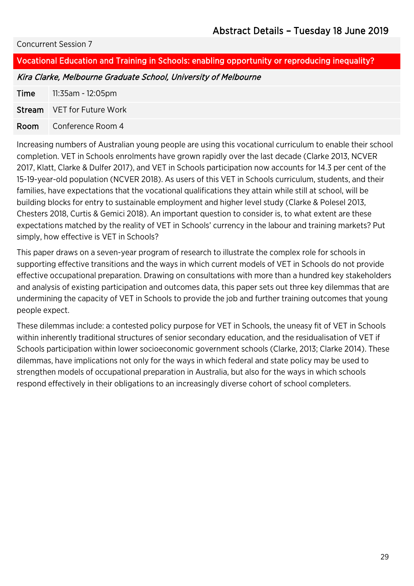### Vocational Education and Training in Schools: enabling opportunity or reproducing inequality? Kira Clarke, Melbourne Graduate School, University of Melbourne **Time** 11:35am - 12:05pm Stream | VET for Future Work Room Conference Room 4

Increasing numbers of Australian young people are using this vocational curriculum to enable their school completion. VET in Schools enrolments have grown rapidly over the last decade (Clarke 2013, NCVER 2017, Klatt, Clarke & Dulfer 2017), and VET in Schools participation now accounts for 14.3 per cent of the 15-19-year-old population (NCVER 2018). As users of this VET in Schools curriculum, students, and their families, have expectations that the vocational qualifications they attain while still at school, will be building blocks for entry to sustainable employment and higher level study (Clarke & Polesel 2013, Chesters 2018, Curtis & Gemici 2018). An important question to consider is, to what extent are these expectations matched by the reality of VET in Schools' currency in the labour and training markets? Put simply, how effective is VET in Schools?

This paper draws on a seven-year program of research to illustrate the complex role for schools in supporting effective transitions and the ways in which current models of VET in Schools do not provide effective occupational preparation. Drawing on consultations with more than a hundred key stakeholders and analysis of existing participation and outcomes data, this paper sets out three key dilemmas that are undermining the capacity of VET in Schools to provide the job and further training outcomes that young people expect.

These dilemmas include: a contested policy purpose for VET in Schools, the uneasy fit of VET in Schools within inherently traditional structures of senior secondary education, and the residualisation of VET if Schools participation within lower socioeconomic government schools (Clarke, 2013; Clarke 2014). These dilemmas, have implications not only for the ways in which federal and state policy may be used to strengthen models of occupational preparation in Australia, but also for the ways in which schools respond effectively in their obligations to an increasingly diverse cohort of school completers.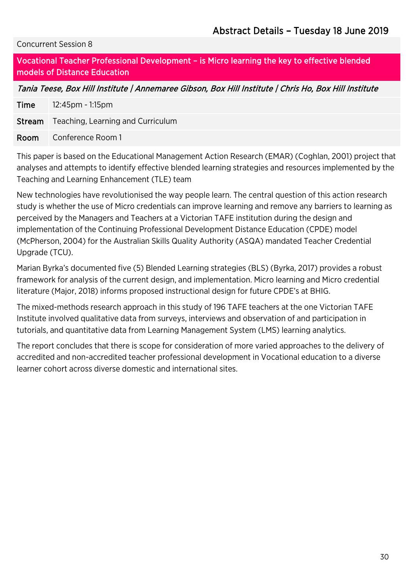Vocational Teacher Professional Development – is Micro learning the key to effective blended models of Distance Education

Tania Teese, Box Hill Institute | Annemaree Gibson, Box Hill Institute | Chris Ho, Box Hill Institute

Time 12:45pm - 1:15pm **Stream** Teaching, Learning and Curriculum Room Conference Room 1

This paper is based on the Educational Management Action Research (EMAR) (Coghlan, 2001) project that analyses and attempts to identify effective blended learning strategies and resources implemented by the Teaching and Learning Enhancement (TLE) team

New technologies have revolutionised the way people learn. The central question of this action research study is whether the use of Micro credentials can improve learning and remove any barriers to learning as perceived by the Managers and Teachers at a Victorian TAFE institution during the design and implementation of the Continuing Professional Development Distance Education (CPDE) model (McPherson, 2004) for the Australian Skills Quality Authority (ASQA) mandated Teacher Credential Upgrade (TCU).

Marian Byrka's documented five (5) Blended Learning strategies (BLS) (Byrka, 2017) provides a robust framework for analysis of the current design, and implementation. Micro learning and Micro credential literature (Major, 2018) informs proposed instructional design for future CPDE's at BHIG.

The mixed-methods research approach in this study of 196 TAFE teachers at the one Victorian TAFE Institute involved qualitative data from surveys, interviews and observation of and participation in tutorials, and quantitative data from Learning Management System (LMS) learning analytics.

The report concludes that there is scope for consideration of more varied approaches to the delivery of accredited and non-accredited teacher professional development in Vocational education to a diverse learner cohort across diverse domestic and international sites.